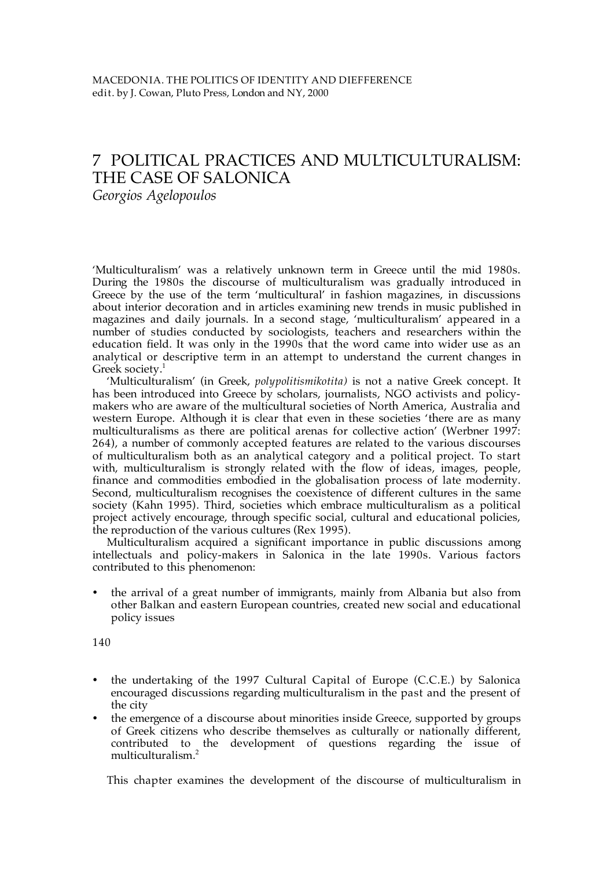# 7 POLITICAL PRACTICES AND MULTICULTURALISM: THE CASE OF SALONICA

*Georgios Agelopoulos*

'Multiculturalism' was a relatively unknown term in Greece until the mid 1980s. During the 1980s the discourse of multiculturalism was gradually introduced in Greece by the use of the term 'multicultural' in fashion magazines, in discussions about interior decoration and in articles examining new trends in music published in magazines and daily journals. In a second stage, 'multiculturalism' appeared in a number of studies conducted by sociologists, teachers and researchers within the education field. It was only in the 1990s that the word came into wider use as an analytical or descriptive term in an attempt to understand the current changes in Greek society. 1

'Multiculturalism' (in Greek, *polypolitismikotita)* is not a native Greek concept. It has been introduced into Greece by scholars, journalists, NGO activists and policymakers who are aware of the multicultural societies of North America, Australia and western Europe. Although it is clear that even in these societies 'there are as many multiculturalisms as there are political arenas for collective action' (Werbner 1997: 264), a number of commonly accepted features are related to the various discourses of multiculturalism both as an analytical category and a political project. To start with, multiculturalism is strongly related with the flow of ideas, images, people, finance and commodities embodied in the globalisation process of late modernity. Second, multiculturalism recognises the coexistence of different cultures in the same society (Kahn 1995). Third, societies which embrace multiculturalism as a political project actively encourage, through specific social, cultural and educational policies, the reproduction of the various cultures (Rex 1995).

Multiculturalism acquired a significant importance in public discussions among intellectuals and policy-makers in Salonica in the late 1990s. Various factors contributed to this phenomenon:

 the arrival of a great number of immigrants, mainly from Albania but also from other Balkan and eastern European countries, created new social and educational policy issues

140

- the undertaking of the 1997 Cultural Capital of Europe (C.C.E.) by Salonica encouraged discussions regarding multiculturalism in the past and the present of the city
- the emergence of a discourse about minorities inside Greece, supported by groups of Greek citizens who describe themselves as culturally or nationally different, contributed to the development of questions regarding the issue of multiculturalism. 2

This chapter examines the development of the discourse of multiculturalism in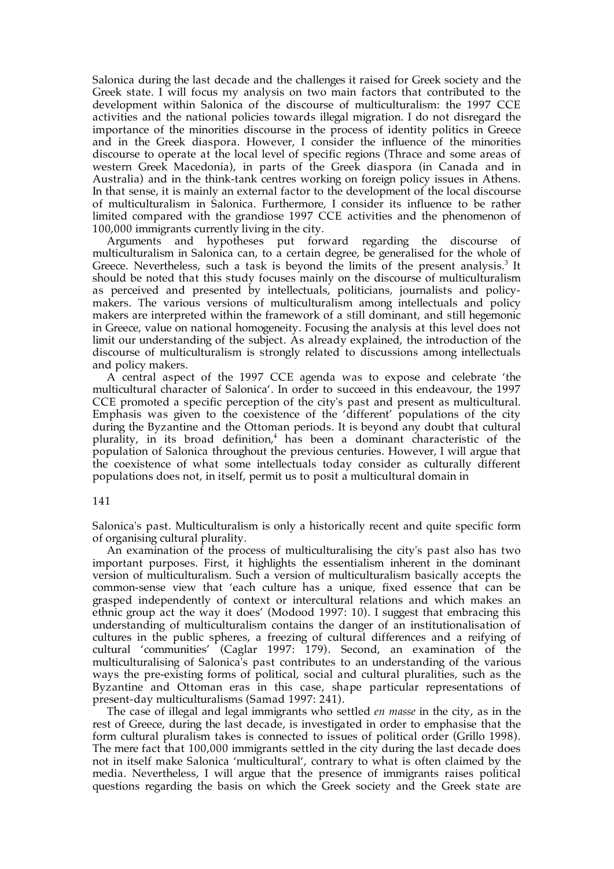Salonica during the last decade and the challenges it raised for Greek society and the Greek state. I will focus my analysis on two main factors that contributed to the development within Salonica of the discourse of multiculturalism: the 1997 CCE activities and the national policies towards illegal migration. I do not disregard the importance of the minorities discourse in the process of identity politics in Greece and in the Greek diaspora. However, I consider the influence of the minorities discourse to operate at the local level of specific regions (Thrace and some areas of western Greek Macedonia), in parts of the Greek diaspora (in Canada and in Australia) and in the think-tank centres working on foreign policy issues in Athens. In that sense, it is mainly an external factor to the development of the local discourse of multiculturalism in Salonica. Furthermore, I consider its influence to be rather limited compared with the grandiose 1997 CCE activities and the phenomenon of 100,000 immigrants currently living in the city.

Arguments and hypotheses put forward regarding the discourse of multiculturalism in Salonica can, to a certain degree, be generalised for the whole of Greece. Nevertheless, such a task is beyond the limits of the present analysis.<sup>3</sup> It should be noted that this study focuses mainly on the discourse of multiculturalism as perceived and presented by intellectuals, politicians, journalists and policymakers. The various versions of multiculturalism among intellectuals and policy makers are interpreted within the framework of a still dominant, and still hegemonic in Greece, value on national homogeneity. Focusing the analysis at this level does not limit our understanding of the subject. As already explained, the introduction of the discourse of multiculturalism is strongly related to discussions among intellectuals and policy makers.

A central aspect of the 1997 CCE agenda was to expose and celebrate 'the multicultural character of Salonica'. In order to succeed in this endeavour, the 1997 CCE promoted a specific perception of the city's past and present as multicultural. Emphasis was given to the coexistence of the 'different' populations of the city during the Byzantine and the Ottoman periods. It is beyond any doubt that cultural plurality, in its broad definition, <sup>4</sup> has been a dominant characteristic of the population of Salonica throughout the previous centuries. However, I will argue that the coexistence of what some intellectuals today consider as culturally different populations does not, in itself, permit us to posit a multicultural domain in

#### 141

Salonica's past. Multiculturalism is only a historically recent and quite specific form of organising cultural plurality.

An examination of the process of multiculturalising the city's past also has two important purposes. First, it highlights the essentialism inherent in the dominant version of multiculturalism. Such a version of multiculturalism basically accepts the common-sense view that 'each culture has a unique, fixed essence that can be grasped independently of context or intercultural relations and which makes an ethnic group act the way it does' (Modood 1997: 10). I suggest that embracing this understanding of multiculturalism contains the danger of an institutionalisation of cultures in the public spheres, a freezing of cultural differences and a reifying of cultural 'communities' (Caglar 1997: 179). Second, an examination of the multiculturalising of Salonica's past contributes to an understanding of the various ways the pre-existing forms of political, social and cultural pluralities, such as the Byzantine and Ottoman eras in this case, shape particular representations of present-day multiculturalisms (Samad 1997: 241).

The case of illegal and legal immigrants who settled *en masse* in the city, as in the rest of Greece, during the last decade, is investigated in order to emphasise that the form cultural pluralism takes is connected to issues of political order (Grillo 1998). The mere fact that 100,000 immigrants settled in the city during the last decade does not in itself make Salonica 'multicultural', contrary to what is often claimed by the media. Nevertheless, I will argue that the presence of immigrants raises political questions regarding the basis on which the Greek society and the Greek state are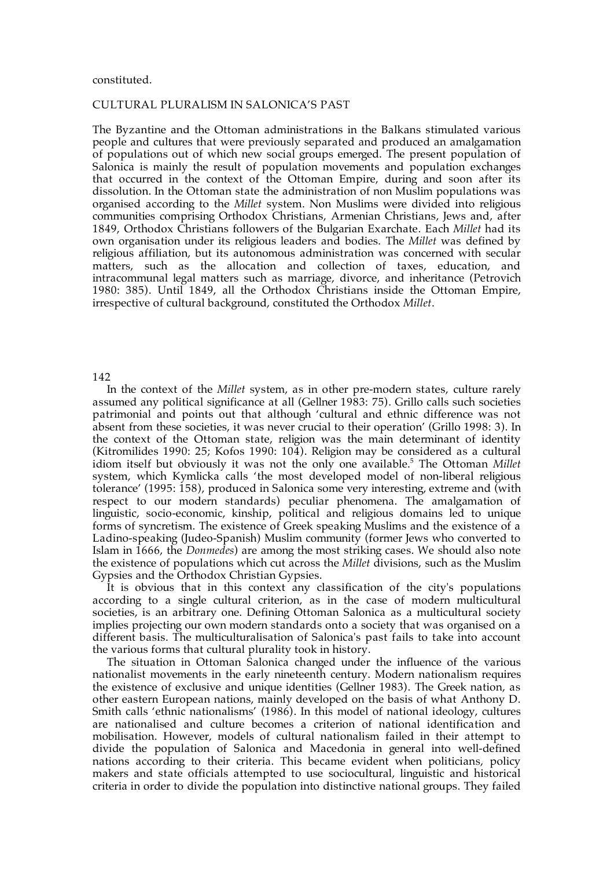#### constituted.

## CULTURAL PLURALISM IN SALONICA'S PAST

The Byzantine and the Ottoman administrations in the Balkans stimulated various people and cultures that were previously separated and produced an amalgamation of populations out of which new social groups emerged. The present population of Salonica is mainly the result of population movements and population exchanges that occurred in the context of the Ottoman Empire, during and soon after its dissolution. In the Ottoman state the administration of non Muslim populations was organised according to the *Millet* system. Non Muslims were divided into religious communities comprising Orthodox Christians, Armenian Christians, Jews and, after 1849, Orthodox Christians followers of the Bulgarian Exarchate. Each *Millet* had its own organisation under its religious leaders and bodies. The *Millet* was defined by religious affiliation, but its autonomous administration was concerned with secular matters, such as the allocation and collection of taxes, education, and intracommunal legal matters such as marriage, divorce, and inheritance (Petrovich 1980: 385). Until 1849, all the Orthodox Christians inside the Ottoman Empire, irrespective of cultural background, constituted the Orthodox *Millet*.

#### 142

In the context of the *Millet* system, as in other pre-modern states, culture rarely assumed any political significance at all (Gellner 1983: 75). Grillo calls such societies patrimonial and points out that although 'cultural and ethnic difference was not absent from these societies, it was never crucial to their operation' (Grillo 1998: 3). In the context of the Ottoman state, religion was the main determinant of identity (Kitromilides 1990: 25; Kofos 1990: 104). Religion may be considered as a cultural idiom itself but obviously it was not the only one available. <sup>5</sup> The Ottoman *Millet*  system, which Kymlicka calls 'the most developed model of non-liberal religious tolerance' (1995: 158), produced in Salonica some very interesting, extreme and (with respect to our modern standards) peculiar phenomena. The amalgamation of linguistic, socio-economic, kinship, political and religious domains led to unique forms of syncretism. The existence of Greek speaking Muslims and the existence of a Ladino-speaking (Judeo-Spanish) Muslim community (former Jews who converted to Islam in 1666, the *Donmedes*) are among the most striking cases. We should also note the existence of populations which cut across the *Millet* divisions, such as the Muslim Gypsies and the Orthodox Christian Gypsies.

It is obvious that in this context any classification of the city's populations according to a single cultural criterion, as in the case of modern multicultural societies, is an arbitrary one. Defining Ottoman Salonica as a multicultural society implies projecting our own modern standards onto a society that was organised on a different basis. The multiculturalisation of Salonica's past fails to take into account the various forms that cultural plurality took in history.

The situation in Ottoman Salonica changed under the influence of the various nationalist movements in the early nineteenth century. Modern nationalism requires the existence of exclusive and unique identities (Gellner 1983). The Greek nation, as other eastern European nations, mainly developed on the basis of what Anthony D. Smith calls 'ethnic nationalisms' (1986). In this model of national ideology, cultures are nationalised and culture becomes a criterion of national identification and mobilisation. However, models of cultural nationalism failed in their attempt to divide the population of Salonica and Macedonia in general into well-defined nations according to their criteria. This became evident when politicians, policy makers and state officials attempted to use sociocultural, linguistic and historical criteria in order to divide the population into distinctive national groups. They failed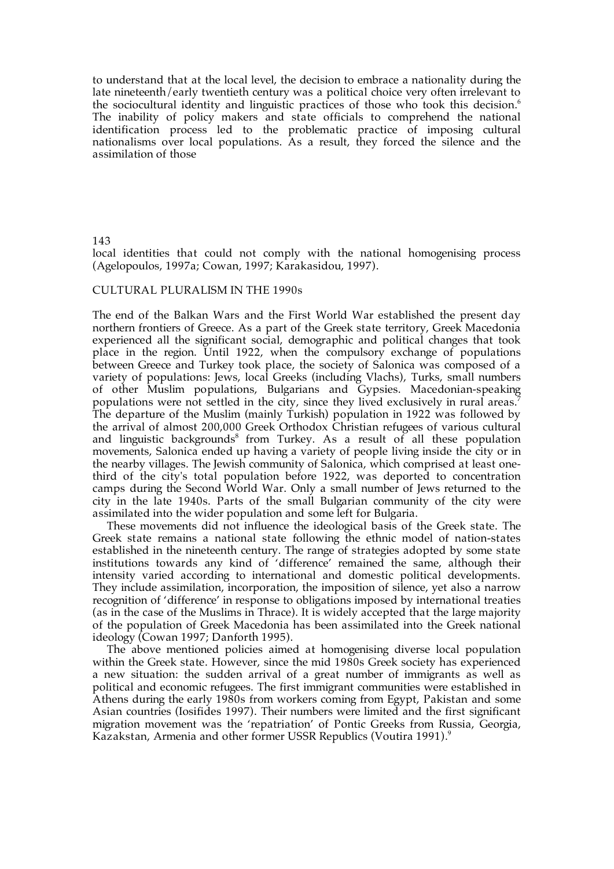to understand that at the local level, the decision to embrace a nationality during the late nineteenth/early twentieth century was a political choice very often irrelevant to the sociocultural identity and linguistic practices of those who took this decision.<sup>6</sup> The inability of policy makers and state officials to comprehend the national identification process led to the problematic practice of imposing cultural nationalisms over local populations. As a result, they forced the silence and the assimilation of those

143

local identities that could not comply with the national homogenising process (Agelopoulos, 1997a; Cowan, 1997; Karakasidou, 1997).

# CULTURAL PLURALISM IN THE 1990s

The end of the Balkan Wars and the First World War established the present day northern frontiers of Greece. As a part of the Greek state territory, Greek Macedonia experienced all the significant social, demographic and political changes that took place in the region. Until 1922, when the compulsory exchange of populations between Greece and Turkey took place, the society of Salonica was composed of a variety of populations: Jews, local Greeks (including Vlachs), Turks, small numbers of other Muslim populations, Bulgarians and Gypsies. Macedonian-speaking populations were not settled in the city, since they lived exclusively in rural areas.<sup>7</sup> The departure of the Muslim (mainly Turkish) population in 1922 was followed by the arrival of almost 200,000 Greek Orthodox Christian refugees of various cultural and linguistic backgrounds <sup>8</sup> from Turkey. As a result of all these population movements, Salonica ended up having a variety of people living inside the city or in the nearby villages. The Jewish community of Salonica, which comprised at least onethird of the city's total population before 1922, was deported to concentration camps during the Second World War. Only a small number of Jews returned to the city in the late 1940s. Parts of the small Bulgarian community of the city were assimilated into the wider population and some left for Bulgaria.

These movements did not influence the ideological basis of the Greek state. The Greek state remains a national state following the ethnic model of nation-states established in the nineteenth century. The range of strategies adopted by some state institutions towards any kind of 'difference' remained the same, although their intensity varied according to international and domestic political developments. They include assimilation, incorporation, the imposition of silence, yet also a narrow recognition of 'difference' in response to obligations imposed by international treaties (as in the case of the Muslims in Thrace). It is widely accepted that the large majority of the population of Greek Macedonia has been assimilated into the Greek national ideology (Cowan 1997; Danforth 1995).

The above mentioned policies aimed at homogenising diverse local population within the Greek state. However, since the mid 1980s Greek society has experienced a new situation: the sudden arrival of a great number of immigrants as well as political and economic refugees. The first immigrant communities were established in Athens during the early 1980s from workers coming from Egypt, Pakistan and some Asian countries (Iosifides 1997). Their numbers were limited and the first significant migration movement was the 'repatriation' of Pontic Greeks from Russia, Georgia, Kazakstan, Armenia and other former USSR Republics (Voutira 1991).<sup>9</sup>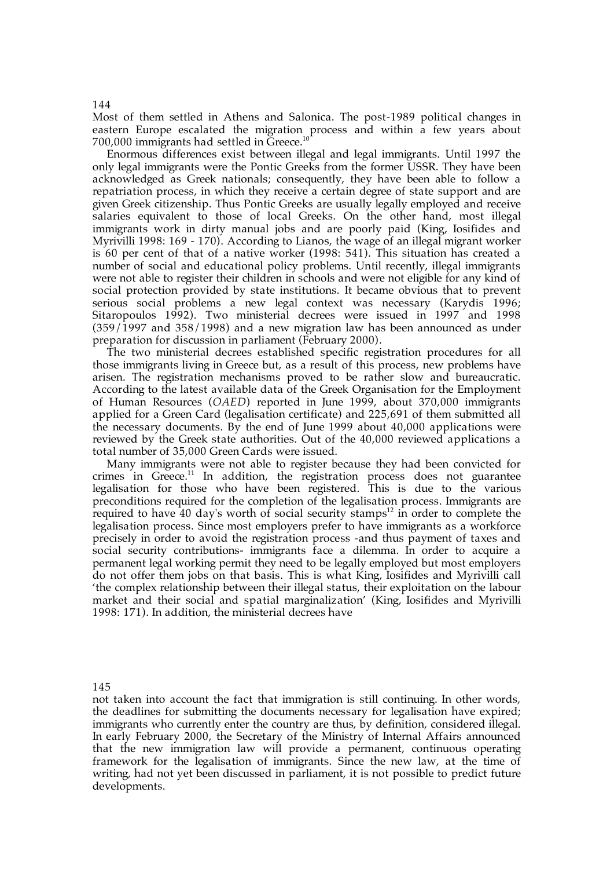Most of them settled in Athens and Salonica. The post-1989 political changes in eastern Europe escalated the migration process and within a few years about 700,000 immigrants had settled in Greece. $^{10}$ 

Enormous differences exist between illegal and legal immigrants. Until 1997 the only legal immigrants were the Pontic Greeks from the former USSR. They have been acknowledged as Greek nationals; consequently, they have been able to follow a repatriation process, in which they receive a certain degree of state support and are given Greek citizenship. Thus Pontic Greeks are usually legally employed and receive salaries equivalent to those of local Greeks. On the other hand, most illegal immigrants work in dirty manual jobs and are poorly paid (King, Iosifides and Myrivilli 1998: 169 - 170). According to Lianos, the wage of an illegal migrant worker is 60 per cent of that of a native worker (1998: 541). This situation has created a number of social and educational policy problems. Until recently, illegal immigrants were not able to register their children in schools and were not eligible for any kind of social protection provided by state institutions. It became obvious that to prevent serious social problems a new legal context was necessary (Karydis 1996; Sitaropoulos 1992). Two ministerial decrees were issued in 1997 and 1998 (359/1997 and 358/1998) and a new migration law has been announced as under preparation for discussion in parliament (February 2000).

The two ministerial decrees established specific registration procedures for all those immigrants living in Greece but, as a result of this process, new problems have arisen. The registration mechanisms proved to be rather slow and bureaucratic. According to the latest available data of the Greek Organisation for the Employment of Human Resources (*OAED*) reported in June 1999, about 370,000 immigrants applied for a Green Card (legalisation certificate) and 225,691 of them submitted all the necessary documents. By the end of June 1999 about 40,000 applications were reviewed by the Greek state authorities. Out of the 40,000 reviewed applications a total number of 35,000 Green Cards were issued.

Many immigrants were not able to register because they had been convicted for crimes in Greece. <sup>11</sup> In addition, the registration process does not guarantee legalisation for those who have been registered. This is due to the various preconditions required for the completion of the legalisation process. Immigrants are required to have 40 day's worth of social security stamps<sup>12</sup> in order to complete the legalisation process. Since most employers prefer to have immigrants as a workforce precisely in order to avoid the registration process -and thus payment of taxes and social security contributions- immigrants face a dilemma. In order to acquire a permanent legal working permit they need to be legally employed but most employers do not offer them jobs on that basis. This is what King, Iosifides and Myrivilli call 'the complex relationship between their illegal status, their exploitation on the labour market and their social and spatial marginalization' (King, Iosifides and Myrivilli 1998: 171). In addition, the ministerial decrees have

145

not taken into account the fact that immigration is still continuing. In other words, the deadlines for submitting the documents necessary for legalisation have expired; immigrants who currently enter the country are thus, by definition, considered illegal. In early February 2000, the Secretary of the Ministry of Internal Affairs announced that the new immigration law will provide a permanent, continuous operating framework for the legalisation of immigrants. Since the new law, at the time of writing, had not yet been discussed in parliament, it is not possible to predict future developments.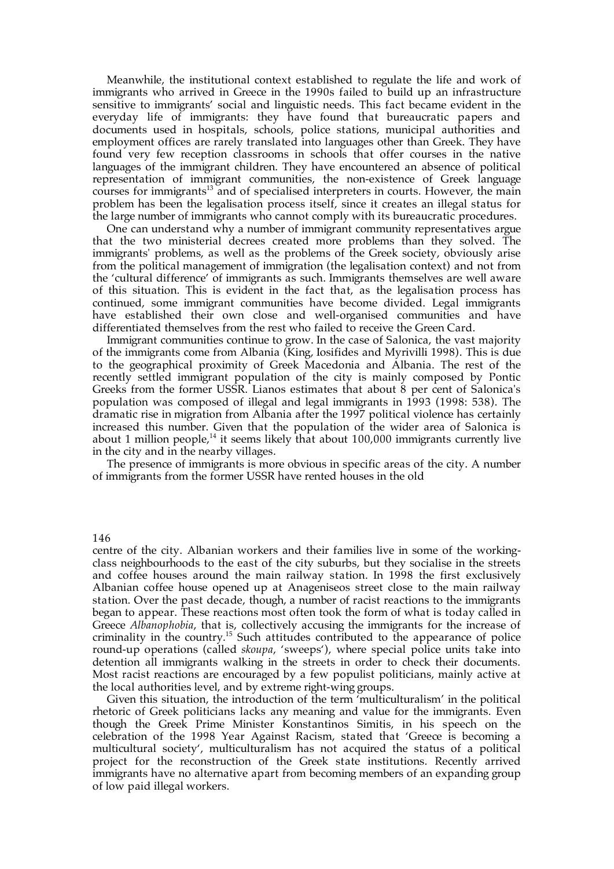Meanwhile, the institutional context established to regulate the life and work of immigrants who arrived in Greece in the 1990s failed to build up an infrastructure sensitive to immigrants' social and linguistic needs. This fact became evident in the everyday life of immigrants: they have found that bureaucratic papers and documents used in hospitals, schools, police stations, municipal authorities and employment offices are rarely translated into languages other than Greek. They have found very few reception classrooms in schools that offer courses in the native languages of the immigrant children. They have encountered an absence of political representation of immigrant communities, the non-existence of Greek language courses for immigrants<sup>13</sup> and of specialised interpreters in courts. However, the main problem has been the legalisation process itself, since it creates an illegal status for the large number of immigrants who cannot comply with its bureaucratic procedures.

One can understand why a number of immigrant community representatives argue that the two ministerial decrees created more problems than they solved. The immigrants' problems, as well as the problems of the Greek society, obviously arise from the political management of immigration (the legalisation context) and not from the 'cultural difference' of immigrants as such. Immigrants themselves are well aware of this situation. This is evident in the fact that, as the legalisation process has continued, some immigrant communities have become divided. Legal immigrants have established their own close and well-organised communities and have differentiated themselves from the rest who failed to receive the Green Card.

Immigrant communities continue to grow. In the case of Salonica, the vast majority of the immigrants come from Albania (King, Iosifides and Myrivilli 1998). This is due to the geographical proximity of Greek Macedonia and Albania. The rest of the recently settled immigrant population of the city is mainly composed by Pontic Greeks from the former USSR. Lianos estimates that about 8 per cent of Salonica's population was composed of illegal and legal immigrants in 1993 (1998: 538). The dramatic rise in migration from Albania after the 1997 political violence has certainly increased this number. Given that the population of the wider area of Salonica is about 1 million people,<sup>14</sup> it seems likely that about  $100,000$  immigrants currently live in the city and in the nearby villages.

The presence of immigrants is more obvious in specific areas of the city. A number of immigrants from the former USSR have rented houses in the old

## 146

centre of the city. Albanian workers and their families live in some of the workingclass neighbourhoods to the east of the city suburbs, but they socialise in the streets and coffee houses around the main railway station. In 1998 the first exclusively Albanian coffee house opened up at Anageniseos street close to the main railway station. Over the past decade, though, a number of racist reactions to the immigrants began to appear. These reactions most often took the form of what is today called in Greece *Albanophobia*, that is, collectively accusing the immigrants for the increase of criminality in the country.<sup>15</sup> Such attitudes contributed to the appearance of police round-up operations (called *skoupa*, 'sweeps'), where special police units take into detention all immigrants walking in the streets in order to check their documents. Most racist reactions are encouraged by a few populist politicians, mainly active at the local authorities level, and by extreme right-wing groups.

Given this situation, the introduction of the term 'multiculturalism' in the political rhetoric of Greek politicians lacks any meaning and value for the immigrants. Even though the Greek Prime Minister Konstantinos Simitis, in his speech on the celebration of the 1998 Year Against Racism, stated that 'Greece is becoming a multicultural society', multiculturalism has not acquired the status of a political project for the reconstruction of the Greek state institutions. Recently arrived immigrants have no alternative apart from becoming members of an expanding group of low paid illegal workers.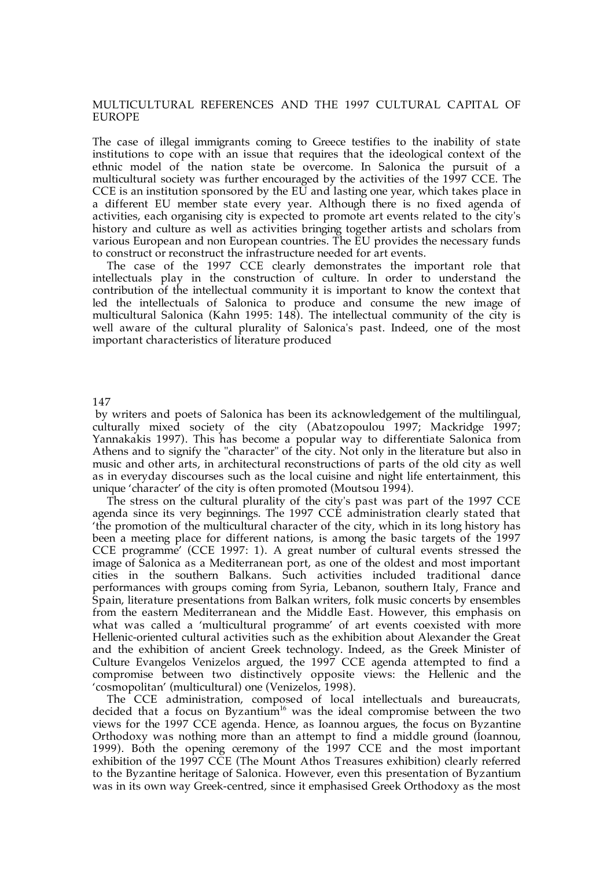# MULTICULTURAL REFERENCES AND THE 1997 CULTURAL CAPITAL OF EUROPE

The case of illegal immigrants coming to Greece testifies to the inability of state institutions to cope with an issue that requires that the ideological context of the ethnic model of the nation state be overcome. In Salonica the pursuit of a multicultural society was further encouraged by the activities of the 1997 CCE. The CCE is an institution sponsored by the EU and lasting one year, which takes place in a different EU member state every year. Although there is no fixed agenda of activities, each organising city is expected to promote art events related to the city's history and culture as well as activities bringing together artists and scholars from various European and non European countries. The EU provides the necessary funds to construct or reconstruct the infrastructure needed for art events.

The case of the 1997 CCE clearly demonstrates the important role that intellectuals play in the construction of culture. In order to understand the contribution of the intellectual community it is important to know the context that led the intellectuals of Salonica to produce and consume the new image of multicultural Salonica (Kahn 1995: 148). The intellectual community of the city is well aware of the cultural plurality of Salonica's past. Indeed, one of the most important characteristics of literature produced

147

by writers and poets of Salonica has been its acknowledgement of the multilingual, culturally mixed society of the city (Abatzopoulou 1997; Mackridge 1997; Yannakakis 1997). This has become a popular way to differentiate Salonica from Athens and to signify the "character" of the city. Not only in the literature but also in music and other arts, in architectural reconstructions of parts of the old city as well as in everyday discourses such as the local cuisine and night life entertainment, this unique 'character' of the city is often promoted (Moutsou 1994).

The stress on the cultural plurality of the city's past was part of the 1997 CCE agenda since its very beginnings. The 1997 CCE administration clearly stated that 'the promotion of the multicultural character of the city, which in its long history has been a meeting place for different nations, is among the basic targets of the 1997 CCE programme' (CCE 1997: 1). A great number of cultural events stressed the image of Salonica as a Mediterranean port, as one of the oldest and most important cities in the southern Balkans. Such activities included traditional dance performances with groups coming from Syria, Lebanon, southern Italy, France and Spain, literature presentations from Balkan writers, folk music concerts by ensembles from the eastern Mediterranean and the Middle East. However, this emphasis on what was called a 'multicultural programme' of art events coexisted with more Hellenic-oriented cultural activities such as the exhibition about Alexander the Great and the exhibition of ancient Greek technology. Indeed, as the Greek Minister of Culture Evangelos Venizelos argued, the 1997 CCE agenda attempted to find a compromise between two distinctively opposite views: the Hellenic and the 'cosmopolitan' (multicultural) one (Venizelos, 1998).

The CCE administration, composed of local intellectuals and bureaucrats, decided that a focus on Byzantium<sup>16</sup> was the ideal compromise between the two views for the 1997 CCE agenda. Hence, as Ioannou argues, the focus on Byzantine Orthodoxy was nothing more than an attempt to find a middle ground (Ioannou, 1999). Both the opening ceremony of the 1997 CCE and the most important exhibition of the 1997 CCE (The Mount Athos Treasures exhibition) clearly referred to the Byzantine heritage of Salonica. However, even this presentation of Byzantium was in its own way Greek-centred, since it emphasised Greek Orthodoxy as the most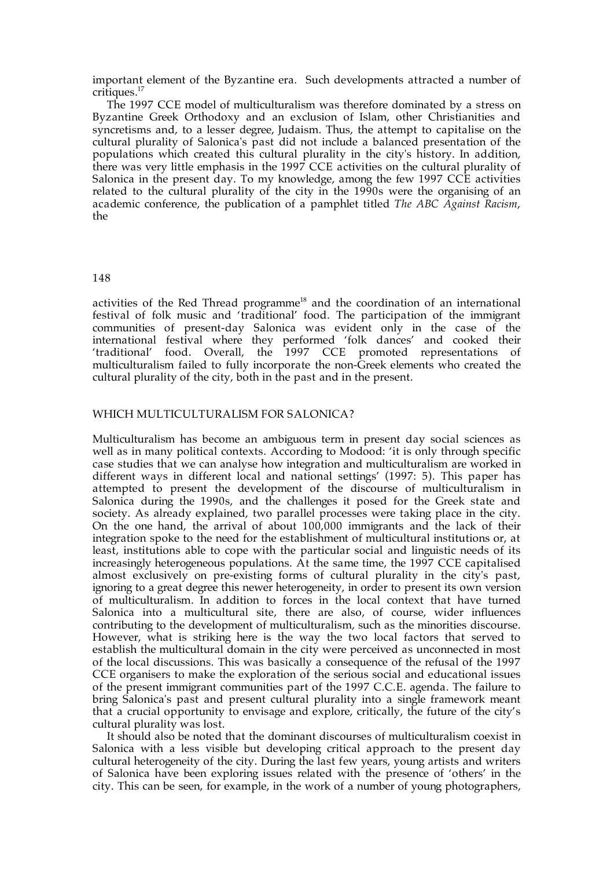important element of the Byzantine era. Such developments attracted a number of critiques. 17

The 1997 CCE model of multiculturalism was therefore dominated by a stress on Byzantine Greek Orthodoxy and an exclusion of Islam, other Christianities and syncretisms and, to a lesser degree, Judaism. Thus, the attempt to capitalise on the cultural plurality of Salonica's past did not include a balanced presentation of the populations which created this cultural plurality in the city's history. In addition, there was very little emphasis in the 1997 CCE activities on the cultural plurality of Salonica in the present day. To my knowledge, among the few 1997 CCE activities related to the cultural plurality of the city in the 1990s were the organising of an academic conference, the publication of a pamphlet titled *The ABC Against Racism*, the

# 148

activities of the Red Thread programme<sup>18</sup> and the coordination of an international festival of folk music and 'traditional' food. The participation of the immigrant communities of present-day Salonica was evident only in the case of the international festival where they performed 'folk dances' and cooked their 'traditional' food. Overall, the 1997 CCE promoted representations of multiculturalism failed to fully incorporate the non-Greek elements who created the cultural plurality of the city, both in the past and in the present.

# WHICH MULTICULTURALISM FOR SALONICA?

Multiculturalism has become an ambiguous term in present day social sciences as well as in many political contexts. According to Modood: 'it is only through specific case studies that we can analyse how integration and multiculturalism are worked in different ways in different local and national settings' (1997: 5). This paper has attempted to present the development of the discourse of multiculturalism in Salonica during the 1990s, and the challenges it posed for the Greek state and society. As already explained, two parallel processes were taking place in the city. On the one hand, the arrival of about 100,000 immigrants and the lack of their integration spoke to the need for the establishment of multicultural institutions or, at least, institutions able to cope with the particular social and linguistic needs of its increasingly heterogeneous populations. At the same time, the 1997 CCE capitalised almost exclusively on pre-existing forms of cultural plurality in the city's past, ignoring to a great degree this newer heterogeneity, in order to present its own version of multiculturalism. In addition to forces in the local context that have turned Salonica into a multicultural site, there are also, of course, wider influences contributing to the development of multiculturalism, such as the minorities discourse. However, what is striking here is the way the two local factors that served to establish the multicultural domain in the city were perceived as unconnected in most of the local discussions. This was basically a consequence of the refusal of the 1997 CCE organisers to make the exploration of the serious social and educational issues of the present immigrant communities part of the 1997 C.C.E. agenda. The failure to bring Salonica's past and present cultural plurality into a single framework meant that a crucial opportunity to envisage and explore, critically, the future of the city's cultural plurality was lost.

It should also be noted that the dominant discourses of multiculturalism coexist in Salonica with a less visible but developing critical approach to the present day cultural heterogeneity of the city. During the last few years, young artists and writers of Salonica have been exploring issues related with the presence of 'others' in the city. This can be seen, for example, in the work of a number of young photographers,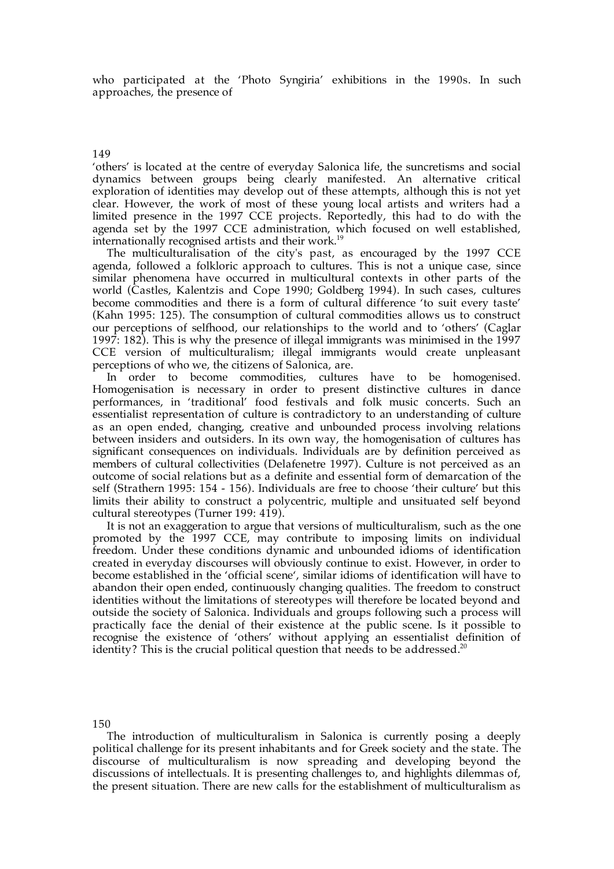who participated at the 'Photo Syngiria' exhibitions in the 1990s. In such approaches, the presence of

'others' is located at the centre of everyday Salonica life, the suncretisms and social dynamics between groups being clearly manifested. An alternative critical exploration of identities may develop out of these attempts, although this is not yet clear. However, the work of most of these young local artists and writers had a limited presence in the 1997 CCE projects. Reportedly, this had to do with the agenda set by the 1997 CCE administration, which focused on well established, internationally recognised artists and their work.<sup>19</sup>

The multiculturalisation of the city's past, as encouraged by the 1997 CCE agenda, followed a folkloric approach to cultures. This is not a unique case, since similar phenomena have occurred in multicultural contexts in other parts of the world (Castles, Kalentzis and Cope 1990; Goldberg 1994). In such cases, cultures become commodities and there is a form of cultural difference 'to suit every taste' (Kahn 1995: 125). The consumption of cultural commodities allows us to construct our perceptions of selfhood, our relationships to the world and to 'others' (Caglar 1997: 182). This is why the presence of illegal immigrants was minimised in the 1997 CCE version of multiculturalism; illegal immigrants would create unpleasant perceptions of who we, the citizens of Salonica, are.

In order to become commodities, cultures have to be homogenised. Homogenisation is necessary in order to present distinctive cultures in dance performances, in 'traditional' food festivals and folk music concerts. Such an essentialist representation of culture is contradictory to an understanding of culture as an open ended, changing, creative and unbounded process involving relations between insiders and outsiders. In its own way, the homogenisation of cultures has significant consequences on individuals. Individuals are by definition perceived as members of cultural collectivities (Delafenetre 1997). Culture is not perceived as an outcome of social relations but as a definite and essential form of demarcation of the self (Strathern 1995: 154 - 156). Individuals are free to choose 'their culture' but this limits their ability to construct a polycentric, multiple and unsituated self beyond cultural stereotypes (Turner 199: 419).

It is not an exaggeration to argue that versions of multiculturalism, such as the one promoted by the 1997 CCE, may contribute to imposing limits on individual freedom. Under these conditions dynamic and unbounded idioms of identification created in everyday discourses will obviously continue to exist. However, in order to become established in the 'official scene', similar idioms of identification will have to abandon their open ended, continuously changing qualities. The freedom to construct identities without the limitations of stereotypes will therefore be located beyond and outside the society of Salonica. Individuals and groups following such a process will practically face the denial of their existence at the public scene. Is it possible to recognise the existence of 'others' without applying an essentialist definition of identity? This is the crucial political question that needs to be addressed.<sup>20</sup>

150

The introduction of multiculturalism in Salonica is currently posing a deeply political challenge for its present inhabitants and for Greek society and the state. The discourse of multiculturalism is now spreading and developing beyond the discussions of intellectuals. It is presenting challenges to, and highlights dilemmas of, the present situation. There are new calls for the establishment of multiculturalism as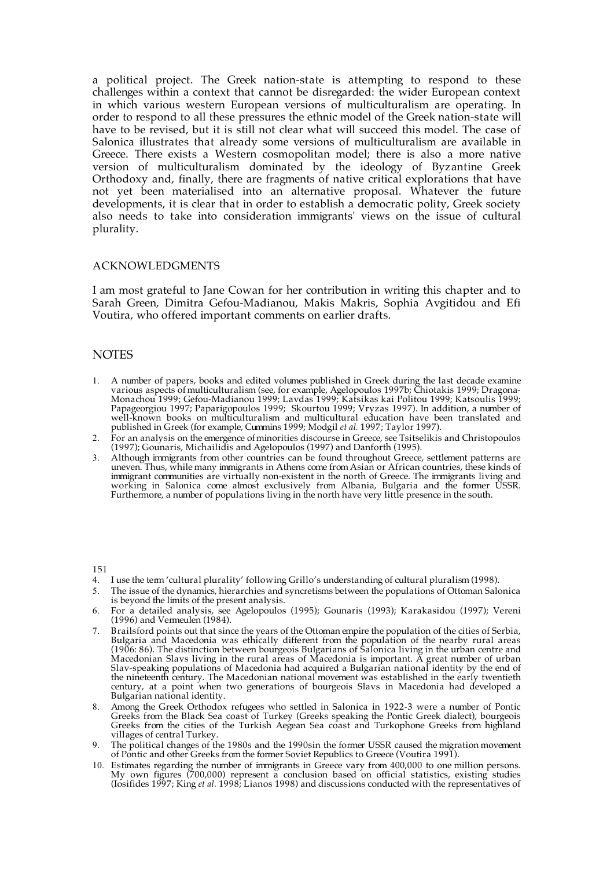a political project. The Greek nation-state is attempting to respond to these challenges within a context that cannot be disregarded: the wider European context in which various western European versions of multiculturalism are operating. In order to respond to all these pressures the ethnic model of the Greek nation-state will have to be revised, but it is still not clear what will succeed this model. The case of Salonica illustrates that already some versions of multiculturalism are available in Greece. There exists a Western cosmopolitan model; there is also a more native version of multiculturalism dominated by the ideology of Byzantine Greek Orthodoxy and, finally, there are fragments of native critical explorations that have not yet been materialised into an alternative proposal. Whatever the future developments, it is clear that in order to establish a democratic polity, Greek society also needs to take into consideration immigrants' views on the issue of cultural plurality.

## ACKNOWLEDGMENTS

I am most grateful to Jane Cowan for her contribution in writing this chapter and to Sarah Green, Dimitra Gefou-Madianou, Makis Makris, Sophia Avgitidou and Efi Voutira, who offered important comments on earlier drafts.

# **NOTES**

- 1. A number of papers, books and edited volumes published in Greek during the last decade examine various aspects of multiculturalism (see, for example, Agelopoulos 1997b; Chiotakis 1999; Dragona-Monachou 1999; Gefou-Madianou 1999; Lavdas 1999; Katsikas kai Politou 1999; Katsoulis 1999; Papageorgiou 1997; Paparigopoulos 1999; Skourtou 1999; Vryzas 1997). In addition, a number of well-known books on multiculturalism and multicultural education have been translated and published in Greek (for example, Cummins 1999; Modgil *et al.* 1997; Taylor 1997).
- 2. For an analysis on the emergence ofminorities discourse in Greece, see Tsitselikis and Christopoulos (1997); Gounaris, Michailidis and Agelopoulos (1997) and Danforth (1995).
- 3. Although immigrants from other countries can be found throughout Greece, settlement patterns are uneven. Thus, while many immigrants in Athens come from Asian or African countries, these kinds of immigrant communities are virtually non-existent in the north of Greece. The immigrants living and working in Salonica come almost exclusively from Albania, Bulgaria and the former USSR. Furthermore, a number of populations living in the north have very little presence in the south.

- 4. I use the term 'cultural plurality' following Grillo's understanding of cultural pluralism (1998).
- 5. The issue of the dynamics, hierarchies and syncretisms between the populations of Ottoman Salonica is beyond the limits of the present analysis.
- 6. For a detailed analysis, see Agelopoulos (1995); Gounaris (1993); Karakasidou (1997); Vereni (1996) and Vermeulen (1984).
- 7. Brailsford points out that since the years of the Ottoman empire the population of the cities of Serbia, Bulgaria and Macedonia was ethically different from the population of the nearby rural areas (1906: 86). The distinction between bourgeois Bulgarians of Salonica living in the urban centre and Macedonian Slavs living in the rural areas of Macedonia is important. A great number of urban Slav-speaking populations of Macedonia had acquired a Bulgarian national identity by the end of the nineteenth century. The Macedonian national movement was established in the early twentieth century, at a point when two generations of bourgeois Slavs in Macedonia had developed a Bulgarian national identity.
- 8. Among the Greek Orthodox refugees who settled in Salonica in 1922-3 were a number of Pontic Greeks from the Black Sea coast of Turkey (Greeks speaking the Pontic Greek dialect), bourgeois<br>Greeks from the cities of the Turkish Aegean Sea coast and Turkophone Greeks from highland villages of central Turkey.
- 9. The political changes of the 1980s and the 1990sin the former USSR caused the migration movement of Pontic and other Greeks from the former Soviet Republics to Greece (Voutira 1991).
- 10. Estimates regarding the number of immigrants in Greece vary from 400,000 to one million persons. My own figures (700,000) represent a conclusion based on official statistics, existing studies (Iosifides 1997; King *et al.* 1998; Lianos 1998) and discussions conducted with the representatives of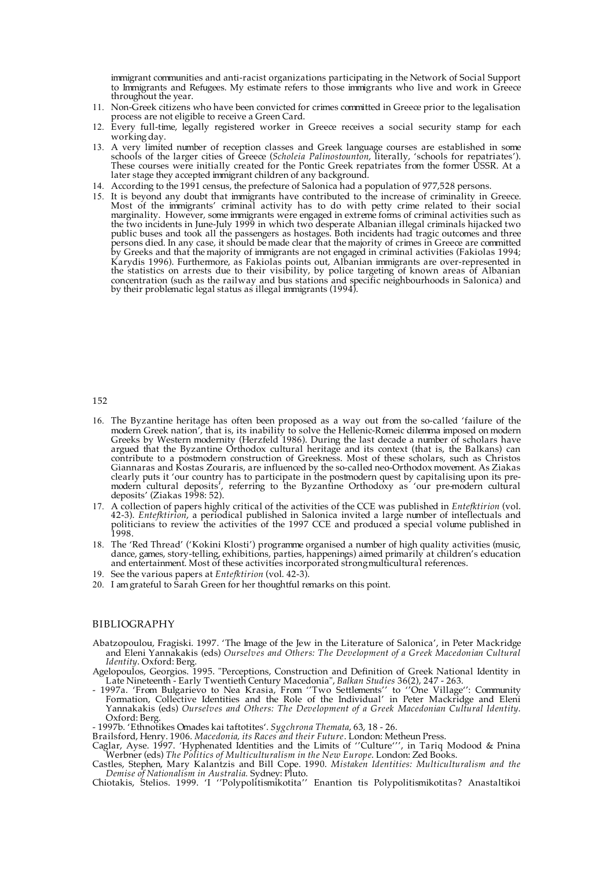immigrant communities and anti-racist organizations participating in the Network of Social Support to Immigrants and Refugees. My estimate refers to those immigrants who live and work in Greece throughout the year.

- 11. Non-Greek citizens who have been convicted for crimes committed in Greece prior to the legalisation process are not eligible to receive a Green Card.
- 12. Every full-time, legally registered worker in Greece receives a social security stamp for each working day.
- 13. A very limited number of reception classes and Greek language courses are established in some schools of the larger cities of Greece (*Scholeia Palinostounton*, literally, 'schools for repatriates'). These courses were initially created for the Pontic Greek repatriates from the former USSR. At a later stage they accepted immigrant children of any background.
- 14. According to the 1991 census, the prefecture of Salonica had a population of 977,528 persons.
- 15. It is beyond any doubt that immigrants have contributed to the increase of criminality in Greece. Most of the immigrants' criminal activity has to do with petty crime related to their social marginality. However, some immigrants were engaged in extreme forms of criminal activities such as the two incidents in June-July 1999 in which two desperate Albanian illegal criminals hijacked two public buses and took all the passengers as hostages. Both incidents had tragic outcomes and three persons died. In any case, it should be made clear that the majority of crimes in Greece are committed by Greeks and that the majority of immigrants are not engaged in criminal activities (Fakiolas 1994; Karydis 1996). Furthermore, as Fakiolas points out, Albanian immigrants are over-represented in the statistics on arrests due to their visibility, by police targeting of known areas of Albanian concentration (such as the railway and bus stations and specific neighbourhoods in Salonica) and by their problematic legal status as illegal immigrants (1994).

#### 152

- 16. The Byzantine heritage has often been proposed as a way out from the so-called 'failure of the modern Greek nation', that is, its inability to solve the Hellenic-Romeic dilemma imposed on modern Greeks by Western modernity (Herzfeld 1986). During the last decade a number of scholars have argued that the Byzantine Orthodox cultural heritage and its context (that is, the Balkans) can contribute to a postmodern construction of Greekness. Most of these scholars, such as Christos Giannaras and Kostas Zouraris, are influenced by the so-called neo-Orthodox movement. As Ziakas clearly puts it 'our country has to participate in the postmodern quest by capitalising upon its premodern cultural deposits', referring to the Byzantine Orthodoxy as 'our pre-modern cultural deposits' (Ziakas 1998: 52).
- 17. A collection of papers highly critical of the activities of the CCE was published in *Entefktirion* (vol. 42-3). *Entefktirion*, a periodical published in Salonica invited a large number of intellectuals and politicians to review the activities of the 1997 CCE and produced a special volume published in 1998.
- 18. The 'Red Thread' ('Kokini Klosti') programme organised a number of high quality activities (music, dance, games, story-telling, exhibitions, parties, happenings) aimed primarily at children's education and entertainment. Most of these activities incorporated strongmulticultural references.
- 19. See the various papers at *Entefktirion* (vol. 42-3).
- 20. I amgrateful to Sarah Green for her thoughtful remarks on this point.

#### BIBLIOGRAPHY

- Abatzopoulou, Fragiski. 1997. 'The Image of the Jew in the Literature of Salonica', in Peter Mackridge and Eleni Yannakakis (eds) *Ourselves and Others: The Development of a Greek Macedonian Cultural Identity*. Oxford: Berg.
- Agelopoulos, Georgios. 1995. "Perceptions, Construction and Definition of Greek National Identity in Late Nineteenth Early Twentieth Century Macedonia", *Balkan Studies* 36(2), <sup>247</sup> 263.
- 1997a. 'From Bulgarievo to Nea Krasia, From ''Two Settlements'' to ''One Village'': Community Formation, Collective Identities and the Role of the Individual' in Peter Mackridge and Eleni Yannakakis (eds) *Ourselves and Others: The Development of a Greek Macedonian Cultural Identity*. Oxford: Berg.
- 1997b. 'Ethnotikes Omades kai taftotites'. *Sygchrona Themata*, 63, 18 26.
- Brailsford, Henry. 1906. *Macedonia, its Races and their Future*. London: Metheun Press.
- Caglar, Ayse. 1997. 'Hyphenated Identities and the Limits of ''Culture''', in Tariq Modood & Pnina Werbner (eds) *The Politics of Multiculturalism in the New Europe*. London: Zed Books.
- Castles, Stephen, Mary Kalantzis and Bill Cope. 1990. *Mistaken Identities: Multiculturalism and the Demise of Nationalism in Australia.* Sydney: Pluto.

Chiotakis, Stelios. 1999. 'I ''Polypolitismikotita'' Enantion tis Polypolitismikotitas? Anastaltikoi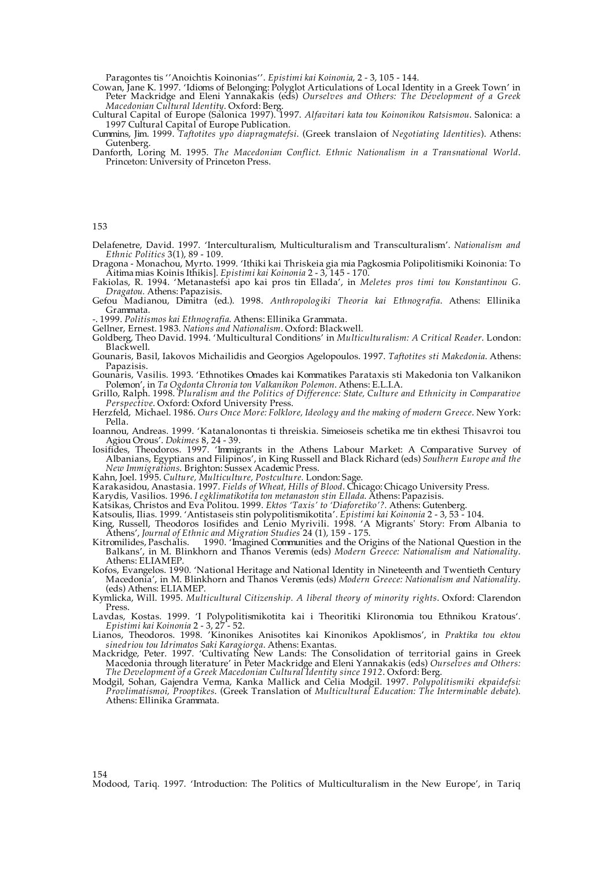Paragontes tis ''Anoichtis Koinonias''. *Epistimi kai Koinonia*, 2 - 3, 105 - 144.

- Cowan, Jane K. 1997. 'Idioms of Belonging: Polyglot Articulations of Local Identity in a Greek Town' in Peter Mackridge and Eleni Yannakakis (eds) *Ourselves and Others: The Development of a Greek Macedonian Cultural Identity*. Oxford: Berg.
- Cultural Capital of Europe (Salonica 1997). 1997. *Alfavitari kata tou Koinonikou Ratsismou*. Salonica: a 1997 Cultural Capital of Europe Publication.

153

Delafenetre, David. 1997. 'Interculturalism, Multiculturalism and Transculturalism'. *Nationalism and Ethnic Politics* 3(1), 89 - 109.

Dragona - Monachou, Myrto. 1999. 'Ithiki kai Thriskeia gia mia Pagkosmia Polipolitismiki Koinonia: To Aitima mias Koinis Ithikis]. *Epistimi kai Koinonia* 2 - 3, 145 - 170.

Fakiolas, R. 1994. 'Metanastefsi apo kai pros tin Ellada', in *Meletes pros timi tou Konstantinou G. Dragatou.* Athens: Papazisis.

Gefou Madianou, Dimitra (ed.). 1998. *Anthropologiki Theoria kai Ethnografia*. Athens: Ellinika Grammata.

-. 1999. *Politismos kai Ethnografia*. Athens: Ellinika Grammata.

Gellner, Ernest. 1983. *Nations and Nationalism*. Oxford: Blackwell.

Goldberg, Theo David. 1994. 'Multicultural Conditions' in *Multiculturalism: A Critical Reader*. London: Blackwell.

Gounaris, Basil, Iakovos Michailidis and Georgios Agelopoulos. 1997. *Taftotites sti Makedonia*. Athens: Papazisis.

Gounaris, Vasilis. 1993. 'Ethnotikes Omades kai Kommatikes Parataxis sti Makedonia ton Valkanikon Polemon', in *Ta Ogdonta Chronia ton Valkanikon Polemon*. Athens: E.L.I.A.

Grillo, Ralph. 1998. *Pluralism and the Politics of Difference: State, Culture and Ethnicity in Comparative Perspective*. Oxford: Oxford University Press.

Herzfeld, Michael. 1986. *Ours Once More: Folklore, Ideology and the making of modern Greece*. New York: Pella.

Ioannou, Andreas. 1999. 'Katanalonontas ti threiskia. Simeioseis schetika me tin ekthesi Thisavroi tou Agiou Orous'. *Dokimes* 8, 24 - 39.

Iosifides, Theodoros. 1997. 'Immigrants in the Athens Labour Market: A Comparative Survey of Albanians, Egyptians and Filipinos', in King Russell and Black Richard (eds) *Southern Europe and the New Immigrations*. Brighton: Sussex Academic Press.

Kahn, Joel. 1995. *Culture, Multiculture, Postculture.* London: Sage.

Karakasidou, Anastasia. 1997. *Fields of Wheat, Hills of Blood*. Chicago: Chicago University Press.

Karydis, Vasilios. 1996. *I egklimatikotita ton metanaston stin Ellada*. Athens: Papazisis.

Katsikas, Christos and Eva Politou. 1999. *Ektos 'Taxis' to 'Diaforetiko'?.* Athens: Gutenberg.

Katsoulis, Ilias. 1999. 'Antistaseis stin polypolitismikotita'. *Epistimi kai Koinonia* 2 - 3, 53 - 104.

King, Russell, Theodoros Iosifides and Lenio Myrivili. 1998. 'A Migrants' Story: From Albania to Athens', *Journal of Ethnic and Migration Studies* 24 (1), 159 - 175.

- Kitromilides, Paschalis. 1990. 'Imagined Communities and the Origins of the National Question in the Balkans', in M. Blinkhorn and Thanos Veremis (eds) *Modern Greece: Nationalism and Nationality*. Athens: ELIAMEP.
- Kofos, Evangelos. 1990. 'National Heritage and National Identity in Nineteenth and Twentieth Century Macedonia', in M. Blinkhorn and Thanos Veremis (eds) *Modern Greece: Nationalism and Nationality*. (eds) Athens: ELIAMEP.

Kymlicka, Will. 1995. *Multicultural Citizenship. A liberal theory of minority rights*. Oxford: Clarendon Press.

Lavdas, Kostas. 1999. 'I Polypolitismikotita kai i Theoritiki Klironomia tou Ethnikou Kratous'. *Epistimi kai Koinonia* 2 - 3, 27 - 52.

Lianos, Theodoros. 1998. 'Kinonikes Anisotites kai Kinonikos Apoklismos', in *Praktika tou ektou sinedriou tou Idrimatos Saki Karagiorga*. Athens: Exantas.

Mackridge, Peter. 1997. 'Cultivating New Lands: The Consolidation of territorial gains in Greek Macedonia through literature' in Peter Mackridge and Eleni Yannakakis (eds) *Ourselves and Others: The Development of a Greek Macedonian Cultural Identity since 1912*. Oxford: Berg.

Modgil, Sohan, Gajendra Verma, Kanka Mallick and Celia Modgil. 1997. *Polypolitismiki ekpaidefsi: Provlimatismoi, Prooptikes*. (Greek Translation of *Multicultural Education: The Interminable debate*). Athens: Ellinika Grammata.

154

Modood, Tariq. 1997. 'Introduction: The Politics of Multiculturalism in the New Europe', in Tariq

Cummins, Jim. 1999. *Taftotites ypo diapragmatefsi*. (Greek translaion of *Negotiating Identities*). Athens: Gutenberg.

Danforth, Loring M. 1995. *The Macedonian Conflict. Ethnic Nationalism in a Transnational World*. Princeton: University of Princeton Press.